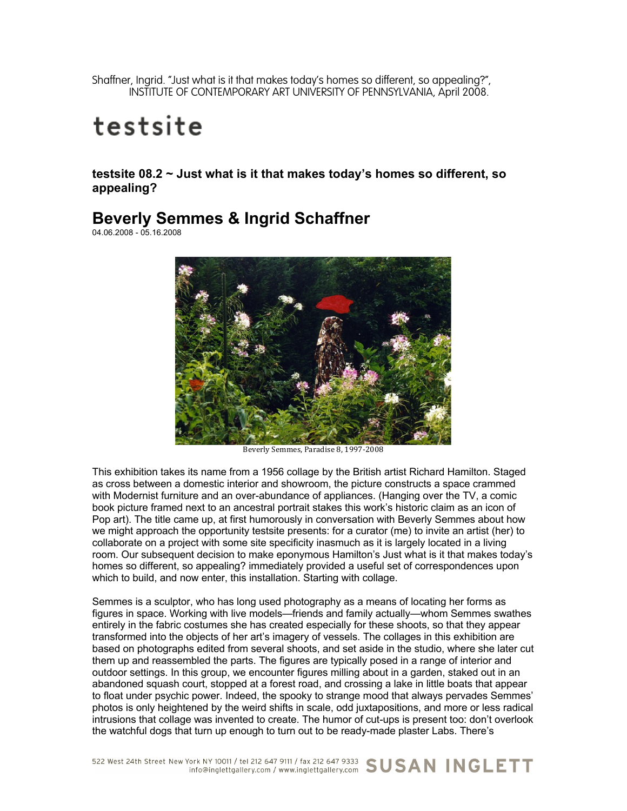Shaffner, Ingrid. "Just what is it that makes today's homes so different, so appealing?", INSTITUTE OF CONTEMPORARY ART UNIVERSITY OF PENNSYLVANIA, April 2008.

## testsite

**testsite 08.2 ~ Just what is it that makes today's homes so different, so appealing?**

## **Beverly Semmes & Ingrid Schaffner**

04.06.2008 - 05.16.2008



Beverly Semmes, Paradise 8, 1997-2008

This exhibition takes its name from a 1956 collage by the British artist Richard Hamilton. Staged as cross between a domestic interior and showroom, the picture constructs a space crammed with Modernist furniture and an over-abundance of appliances. (Hanging over the TV, a comic book picture framed next to an ancestral portrait stakes this work's historic claim as an icon of Pop art). The title came up, at first humorously in conversation with Beverly Semmes about how we might approach the opportunity testsite presents: for a curator (me) to invite an artist (her) to collaborate on a project with some site specificity inasmuch as it is largely located in a living room. Our subsequent decision to make eponymous Hamilton's Just what is it that makes today's homes so different, so appealing? immediately provided a useful set of correspondences upon which to build, and now enter, this installation. Starting with collage.

Semmes is a sculptor, who has long used photography as a means of locating her forms as figures in space. Working with live models—friends and family actually—whom Semmes swathes entirely in the fabric costumes she has created especially for these shoots, so that they appear transformed into the objects of her art's imagery of vessels. The collages in this exhibition are based on photographs edited from several shoots, and set aside in the studio, where she later cut them up and reassembled the parts. The figures are typically posed in a range of interior and outdoor settings. In this group, we encounter figures milling about in a garden, staked out in an abandoned squash court, stopped at a forest road, and crossing a lake in little boats that appear to float under psychic power. Indeed, the spooky to strange mood that always pervades Semmes' photos is only heightened by the weird shifts in scale, odd juxtapositions, and more or less radical intrusions that collage was invented to create. The humor of cut-ups is present too: don't overlook the watchful dogs that turn up enough to turn out to be ready-made plaster Labs. There's